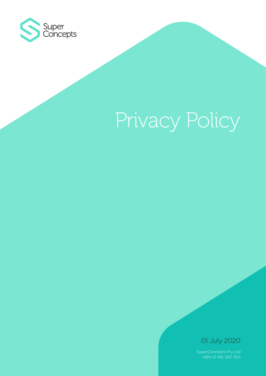

# Privacy Policy

01 July 2020

SuperConcepts Pty Ltd ABN 21 166 393 700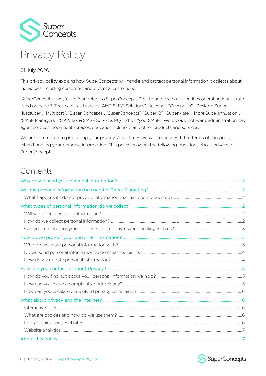

#### 01 July 2020

This privacy policy explains how SuperConcepts will handle and protect personal information it collects about individuals including customers and potential customers.

'SuperConcepts', 'we', 'us' or 'our' refers to SuperConcepts Pty Ltd and each of its entities operating in Australia listed on page 7. These entities trade as "AMP SMSF Solutions", "Ascend", "Cavendish", "Desktop Super", "justsuper", "Multiport", "Super Concepts", "SuperConcepts", "SuperIQ", "SuperMate", "More Superannuation", "SMSF Managers", "SMA Tax & SMSF Services Pty Ltd" or "yourSMSF". We provide software, administration, tax agent services, document services, education solutions and other products and services.

We are committed to protecting your privacy. At all times we will comply with the terms of this policy when handling your personal information. This policy answers the following questions about privacy at SuperConcepts:

# Contents

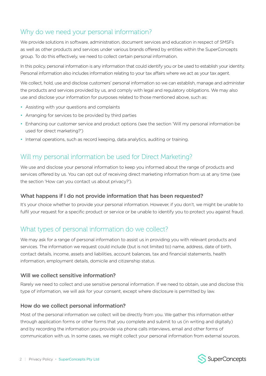## <span id="page-2-0"></span>Why do we need your personal information?

We provide solutions in software, administration, document services and education in respect of SMSFs as well as other products and services under various brands offered by entities within the SuperConcepts group. To do this effectively, we need to collect certain personal information.

In this policy, personal information is any information that could identify you or be used to establish your identity. Personal information also includes information relating to your tax affairs where we act as your tax agent.

We collect, hold, use and disclose customers' personal information so we can establish, manage and administer the products and services provided by us, and comply with legal and regulatory obligations. We may also use and disclose your information for purposes related to those mentioned above, such as:

- Assisting with your questions and complaints
- Arranging for services to be provided by third parties
- Enhancing our customer service and product options (see the section 'Will my personal information be used for direct marketing?')
- Internal operations, such as record keeping, data analytics, auditing or training.

## Will my personal information be used for Direct Marketing?

We use and disclose your personal information to keep you informed about the range of products and services offered by us. You can opt out of receiving direct marketing information from us at any time (see the section 'How can you contact us about privacy?').

#### What happens if I do not provide information that has been requested?

It's your choice whether to provide your personal information. However, if you don't, we might be unable to fulfil your request for a specific product or service or be unable to identify you to protect you against fraud.

## What types of personal information do we collect?

We may ask for a range of personal information to assist us in providing you with relevant products and services. The information we request could include (but is not limited to) name, address, date of birth, contact details, income, assets and liabilities, account balances, tax and financial statements, health information, employment details, domicile and citizenship status.

#### Will we collect sensitive information?

Rarely we need to collect and use sensitive personal information. If we need to obtain, use and disclose this type of information, we will ask for your consent, except where disclosure is permitted by law.

#### How do we collect personal information?

Most of the personal information we collect will be directly from you. We gather this information either through application forms or other forms that you complete and submit to us (in writing and digitally) and by recording the information you provide via phone calls interviews, email and other forms of communication with us. In some cases, we might collect your personal information from external sources.

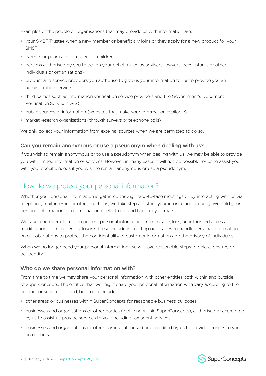<span id="page-3-0"></span>Examples of the people or organisations that may provide us with information are:

- your SMSF Trustee when a new member or beneficiary joins or they apply for a new product for your **SMSF**
- Parents or guardians in respect of children
- persons authorised by you to act on your behalf (such as advisers, lawyers, accountants or other individuals or organisations)
- product and service providers you authorise to give us your information for us to provide you an administration service
- third parties such as information verification service providers and the Government's Document Verification Service (DVS)
- public sources of information (websites that make your information available)
- market research organisations (through surveys or telephone polls)

We only collect your information from external sources when we are permitted to do so.

#### Can you remain anonymous or use a pseudonym when dealing with us?

If you wish to remain anonymous or to use a pseudonym when dealing with us, we may be able to provide you with limited information or services. However, in many cases it will not be possible for us to assist you with your specific needs if you wish to remain anonymous or use a pseudonym.

### How do we protect your personal information?

Whether your personal information is gathered through face-to-face meetings or by interacting with us via telephone, mail, internet or other methods, we take steps to store your information securely. We hold your personal information in a combination of electronic and hardcopy formats.

We take a number of steps to protect personal information from misuse, loss, unauthorised access, modification or improper disclosure. These include instructing our staff who handle personal information on our obligations to protect the confidentiality of customer information and the privacy of individuals.

When we no longer need your personal information, we will take reasonable steps to delete, destroy or de-identify it.

#### Who do we share personal information with?

From time to time we may share your personal information with other entities both within and outside of SuperConcepts. The entities that we might share your personal information with vary according to the product or service involved, but could include:

- other areas or businesses within SuperConcepts for reasonable business purposes
- businesses and organisations or other parties (including within SuperConcepts), authorised or accredited by us to assist us provide services to you, including tax agent services
- businesses and organisations or other parties authorised or accredited by us to provide services to you on our behalf

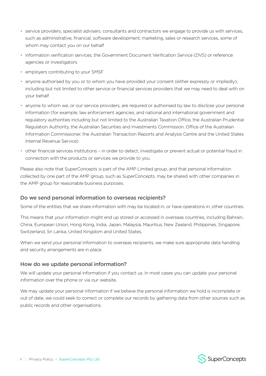- <span id="page-4-0"></span>• service providers, specialist advisers, consultants and contractors we engage to provide us with services, such as administrative, financial, software development, marketing, sales or research services, some of whom may contact you on our behalf
- information verification services, the Government Document Verification Service (DVS) or reference agencies or investigators
- employers contributing to your SMSF
- anyone authorised by you or to whom you have provided your consent (either expressly or impliedly), including but not limited to other service or financial services providers that we may need to deal with on your behalf
- anyone to whom we, or our service providers, are required or authorised by law to disclose your personal information (for example, law enforcement agencies, and national and international government and regulatory authorities including but not limited to the Australian Taxation Office, the Australian Prudential Regulation Authority, the Australian Securities and Investments Commission, Office of the Australian Information Commissioner, the Australian Transaction Reports and Analysis Centre and the United States Internal Revenue Service)
- other financial services institutions in order to detect, investigate or prevent actual or potential fraud in connection with the products or services we provide to you.

Please also note that SuperConcepts is part of the AMP Limited group, and that personal information collected by one part of the AMP group, such as SuperConcepts, may be shared with other companies in the AMP group for reasonable business purposes.

#### Do we send personal information to overseas recipients?

Some of the entities that we share information with may be located in, or have operations in, other countries.

This means that your information might end up stored or accessed in overseas countries, including Bahrain, China, European Union, Hong Kong, India, Japan, Malaysia, Mauritius, New Zealand, Philippines, Singapore, Switzerland, Sri Lanka, United Kingdom and United States.

When we send your personal information to overseas recipients, we make sure appropriate data handling and security arrangements are in place.

#### How do we update personal information?

We will update your personal information if you contact us. In most cases you can update your personal information over the phone or via our website.

We may update your personal information if we believe the personal information we hold is incomplete or out of date, we could seek to correct or complete our records by gathering data from other sources such as public records and other organisations.

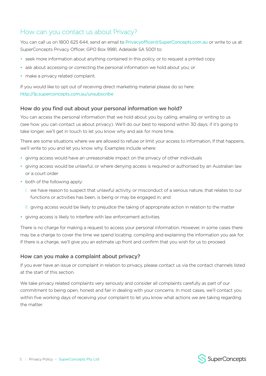## <span id="page-5-0"></span>How can you contact us about Privacy?

You can call us on 1800 625 644, send an email to [Privacyofficer@SuperConcepts.com.au](mailto:Privacyofficer%40SuperConcepts.com.au?subject=) or write to us at SuperConcepts Privacy Officer, GPO Box 9981, Adelaide SA 5001 to:

- seek more information about anything contained in this policy, or to request a printed copy
- ask about accessing or correcting the personal information we hold about you; or
- make a privacy related complaint.

If you would like to opt out of receiving direct marketing material please do so here: <http://lp.superconcepts.com.au/unsubscribe>

#### How do you find out about your personal information we hold?

You can access the personal information that we hold about you by calling, emailing or writing to us (see how you can contact us about privacy). We'll do our best to respond within 30 days; if it's going to take longer, we'll get in touch to let you know why and ask for more time.

There are some situations where we are allowed to refuse or limit your access to information, If that happens, we'll write to you and let you know why. Examples include where:

- giving access would have an unreasonable impact on the privacy of other individuals
- giving access would be unlawful, or where denying access is required or authorised by an Australian law or a court order
- both of the following apply:
	- I. we have reason to suspect that unlawful activity, or misconduct of a serious nature, that relates to our functions or activities has been, is being or may be engaged in; and
	- II. giving access would be likely to prejudice the taking of appropriate action in relation to the matter
- giving access is likely to interfere with law enforcement activities.

There is no charge for making a request to access your personal information. However, in some cases there may be a charge to cover the time we spend locating, compiling and explaining the information you ask for. If there is a charge, we'll give you an estimate up front and confirm that you wish for us to proceed.

#### How can you make a complaint about privacy?

If you ever have an issue or complaint in relation to privacy, please contact us via the contact channels listed at the start of this section.

We take privacy related complaints very seriously and consider all complaints carefully as part of our commitment to being open, honest and fair in dealing with your concerns. In most cases, we'll contact you within five working days of receiving your complaint to let you know what actions we are taking regarding the matter.

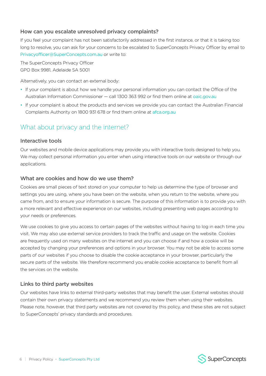#### <span id="page-6-0"></span>How can you escalate unresolved privacy complaints?

If you feel your complaint has not been satisfactorily addressed in the first instance, or that it is taking too long to resolve, you can ask for your concerns to be escalated to SuperConcepts Privacy Officer by email to [Privacyofficer@SuperConcepts.com.au](mailto:Privacyofficer%40SuperConcepts.com.au?subject=) or write to:

The SuperConcepts Privacy Officer GPO Box 9981, Adelaide SA 5001

Alternatively, you can contact an external body:

- If your complaint is about how we handle your personal information you can contact the Office of the Australian Information Commissioner — call 1300 363 992 or find them online at [oaic.gov.au](http://oaic.gov.au)
- If your complaint is about the products and services we provide you can contact the Australian Financial Complaints Authority on 1800 931 678 or find them online at [afca.org.au](https://www.afca.org.au/)

## What about privacy and the internet?

#### Interactive tools

Our websites and mobile device applications may provide you with interactive tools designed to help you. We may collect personal information you enter when using interactive tools on our website or through our applications.

#### What are cookies and how do we use them?

Cookies are small pieces of text stored on your computer to help us determine the type of browser and settings you are using, where you have been on the website, when you return to the website, where you came from, and to ensure your information is secure. The purpose of this information is to provide you with a more relevant and effective experience on our websites, including presenting web pages according to your needs or preferences.

We use cookies to give you access to certain pages of the websites without having to log in each time you visit. We may also use external service providers to track the traffic and usage on the website. Cookies are frequently used on many websites on the internet and you can choose if and how a cookie will be accepted by changing your preferences and options in your browser. You may not be able to access some parts of our websites if you choose to disable the cookie acceptance in your browser, particularly the secure parts of the website. We therefore recommend you enable cookie acceptance to benefit from all the services on the website.

#### Links to third party websites

Our websites have links to external third-party websites that may benefit the user. External websites should contain their own privacy statements and we recommend you review them when using their websites. Please note, however, that third party websites are not covered by this policy, and these sites are not subject to SuperConcepts' privacy standards and procedures.